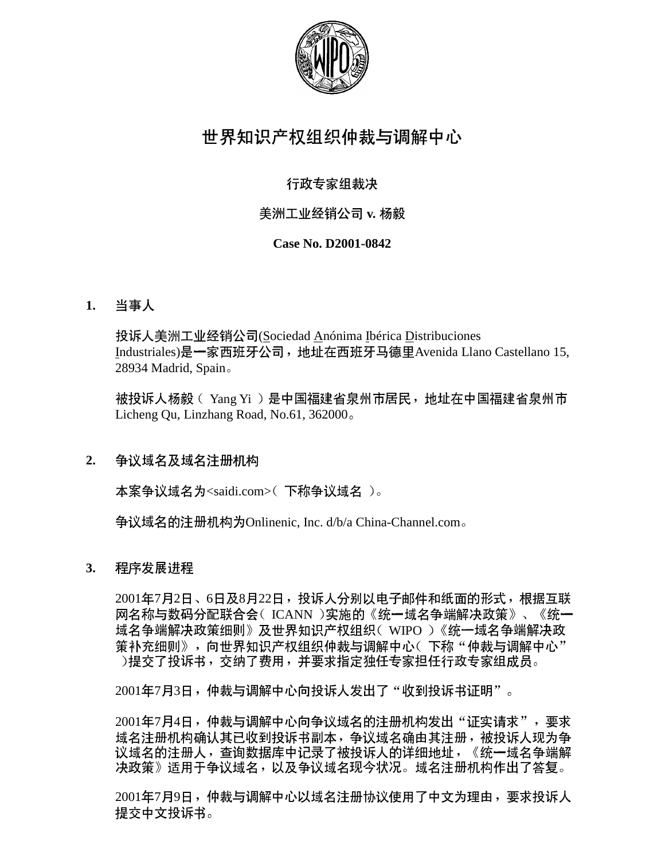

# 世界知识产权组织仲裁与调解中心

## 行政专家组裁决

### 美洲工业经销公司 v. 杨毅

### **Case No. D2001-0842**

#### **1.** 当事人

投诉人美洲工业经销公司(Sociedad Anónima Ibérica Distribuciones Industriales) 是一家西班牙公司, 地址在西班牙马德里Avenida Llano Castellano 15, 28934 Madrid, Spain

被投诉人杨毅( Yang Yi )是中国福建省泉州市居民,地址在中国福建省泉州市 Licheng Qu, Linzhang Road, No.61, 362000

#### **2.**  争议域名及域名注册机构

本案争议域名为<saidi.com>(下称争议域名)。

争议域名的注册机构为Onlinenic, Inc. d/b/a China-Channel.com。

#### **3.**  程序发展进程

 $2001$ 年7月2日、6日及8月22日,投诉人分别以电子邮件和纸面的形式,根据互联 网名称与数码分配联合会(ICANN)实施的《统一域名争端解决政策》、《统一 域名争端解决政策细则》及世界知识产权组织(WIPO)《统一域名争端解决政 策补充细则》,向世界知识产权组织仲裁与调解中心(下称"仲裁与调解中心" )提交了投诉书,交纳了费用,并要求指定独任专家担任行政专家组成员。

2001年7月3日,仲裁与调解中心向投诉人发出了"收到投诉书证明"。

2001年7月4日,仲裁与调解中心向争议域名的注册机构发出"证实请求",要求 域名注册机构确认其已收到投诉书副本,争议域名确由其注册,被投诉人现为争 议域名的注册人,查询数据库中记录了被投诉人的详细地址,《统一域名争端解 决政策》适用于争议域名,以及争议域名现今状况。域名注册机构作出了答复。

2001年7月9日,仲裁与调解中心以域名注册协议使用了中文为理由,要求投诉人 提交中文投诉书。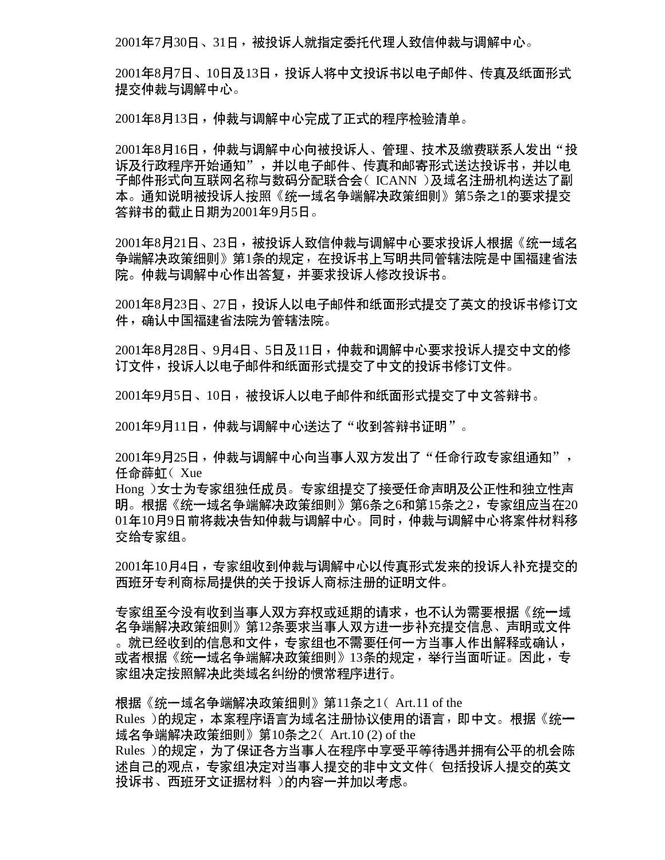2001年7月30日、31日,被投诉人就指定委托代理人致信仲裁与调解中心。

2001年8月7日、10日及13日,投诉人将中文投诉书以电子邮件、传真及纸面形式 提交仲裁与调解中心。

2001年8月13日,仲裁与调解中心完成了正式的程序检验清单。

2001年8月16日,仲裁与调解中心向被投诉人、管理、技术及缴费联系人发出"投 诉及行政程序开始通知",并以电子邮件、传真和邮寄形式送达投诉书,并以电 子邮件形式向互联网名称与数码分配联合会(ICANN)及域名注册机构送达了副 本。通知说明被投诉人按照《统一域名争端解决政策细则》第5条之1的要求提交 答辩书的截止日期为2001年9月5日。

2001年8月21日、23日,被投诉人致信仲裁与调解中心要求投诉人根据《统一域名 争端解决政策细则》第1条的规定,在投诉书上写明共同管辖法院是中国福建省法 院。仲裁与调解中心作出答复,并要求投诉人修改投诉书。

2001年8月23日、27日,投诉人以电子邮件和纸面形式提交了英文的投诉书修订文 件,确认中国福建省法院为管辖法院。

2001年8月28日、9月4日、5日及11日,仲裁和调解中心要求投诉人提交中文的修 订文件,投诉人以电子邮件和纸面形式提交了中文的投诉书修订文件。

2001年9月5日、10日,被投诉人以电子邮件和纸面形式提交了中文答辩书。

 $2001$ 年9月11日,仲裁与调解中心送达了"收到答辩书证明"。

2001年9月25日,仲裁与调解中心向当事人双方发出了"任命行政专家组通知", 任命薛虹(Xue

Hong )女士为专家组独任成员。专家组提交了接受任命声明及公正性和独立性声 明。根据《统一域名争端解决政策细则》第6条之6和第15条之2,专家组应当在20 01年10月9日前将裁决告知仲裁与调解中心。同时,仲裁与调解中心将案件材料移 交给专家组。

2001年10月4日,专家组收到仲裁与调解中心以传真形式发来的投诉人补充提交的 西班牙专利商标局提供的关于投诉人商标注册的证明文件。

专家组至今没有收到当事人双方弃权或延期的请求,也不认为需要根据《统一域 名争端解决政策细则》第12条要求当事人双方进一步补充提交信息、声明或文件 。就已经收到的信息和文件,专家组也不需要任何一方当事人作出解释或确认, 或者根据《统一域名争端解决政策细则》13条的规定,举行当面听证。因此,专 家组决定按照解决此类域名纠纷的惯常程序进行。

根据《统一域名争端解决政策细则》第11条之1(Art.11 of the Rules )的规定,本案程序语言为域名注册协议使用的语言,即中文。根据《统一 域名争端解决政策细则》第10条之2(Art.10 (2) of the Rules )的规定,为了保证各方当事人在程序中享受平等待遇并拥有公平的机会陈 述自己的观点,专家组决定对当事人提交的非中文文件(包括投诉人提交的英文 投诉书、西班牙文证据材料 )的内容一并加以考虑。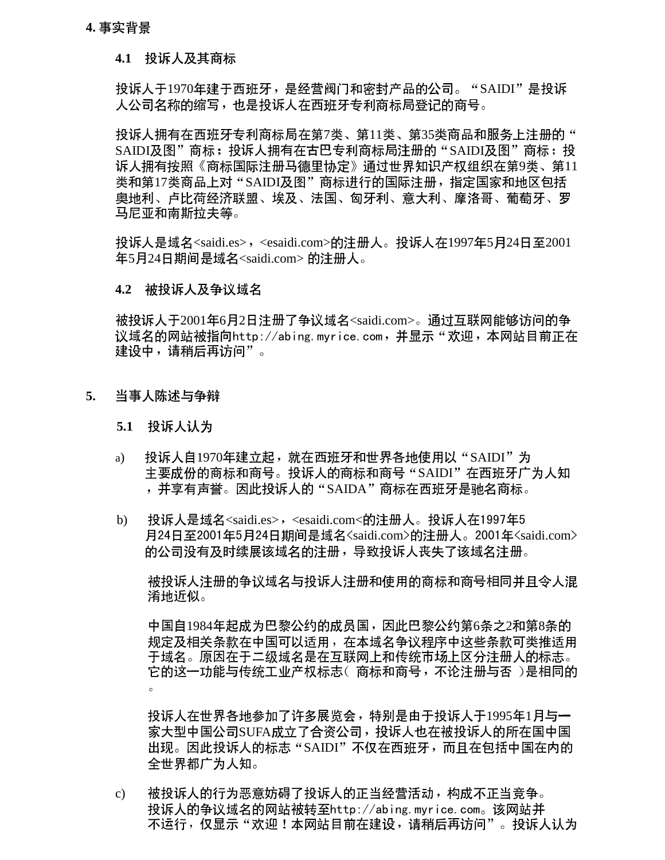**4.1** 

投诉人于1970年建于西班牙,是经营阀门和密封产品的公司。"SAIDI"是投诉 人公司名称的缩写,也是投诉人在西班牙专利商标局登记的商号。

投诉人拥有在西班牙专利商标局在第7类、第11类、第35类商品和服务上注册的" SAIDI及图"商标;投诉人拥有在古巴专利商标局注册的"SAIDI及图"商标;投 诉人拥有按照《商标国际注册马德里协定》通过世界知识产权组织在第9类、第11 类和第17类商品上对"SAIDI及图"商标进行的国际注册,指定国家和地区包括 奥地利、卢比荷经济联盟、埃及、法国、匈牙利、意大利、摩洛哥、葡萄牙、罗 马尼亚和南斯拉夫等。

投诉人是域名<saidi.es>,<esaidi.com>的注册人。投诉人在1997年5月24日至2001 年5月24日期间是域名<saidi.com>的注册人。

### **4.2**

被投诉人于2001年6月2日注册了争议域名<saidi.com>。通过互联网能够访问的争 http://abing.myrice.com 建设中,请稍后再访问"。

- 当事人陈述与争辩 **5.** 
	- **5.1**
	- a) 投诉人自1970年建立起,就在西班牙和世界各地使用以"SAIDI"为 主要成份的商标和商号。投诉人的商标和商号"SAIDI"在西班牙广为人知 ,并享有声誉。因此投诉人的"SAIDA"商标在西班牙是驰名商标。
	- b) 投诉人是域名<saidi.es>, <esaidi.com<的注册人。投诉人在1997年5 月24日至2001年5月24日期间是域名<saidi.com>的注册人。2001年<saidi.com> 的公司没有及时续展该域名的注册,导致投诉人丧失了该域名注册。

被投诉人注册的争议域名与投诉人注册和使用的商标和商号相同并且令人混 淆地近似。

中国自1984年起成为巴黎公约的成员国,因此巴黎公约第6条之2和第8条的 规定及相关条款在中国可以适用,在本域名争议程序中这些条款可类推适用 于域名。原因在于二级域名是在互联网上和传统市场上区分注册人的标志。 它的这一功能与传统工业产权标志( 商标和商号,不论注册与否 )是相同的  $\circ$ 

投诉人在世界各地参加了许多展览会,特别是由于投诉人于1995年1月与一 家大型中国公司SUFA成立了合资公司,投诉人也在被投诉人的所在国中国 出现。因此投诉人的标志"SAIDI"不仅在西班牙,而且在包括中国在内的 全世界都广为人知。

被投诉人的行为恶意妨碍了投诉人的正当经营活动,构成不正当竞争。 c) http://abing.myrice.com 不运行,仅显示"欢迎!本网站目前在建设,请稍后再访问"。投诉人认为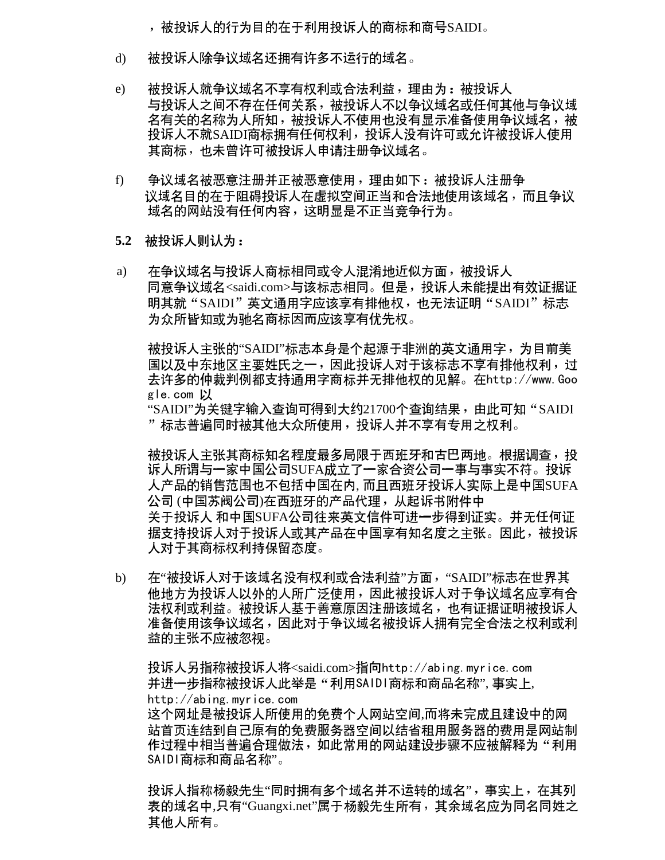,被投诉人的行为目的在于利用投诉人的商标和商号SAIDI。

- 被投诉人除争议域名还拥有许多不运行的域名。 d)
- e) 被投诉人就争议域名不享有权利或合法利益,理由为:被投诉人 与投诉人之间不存在任何关系,被投诉人不以争议域名或任何其他与争议域 名有关的名称为人所知, 被投诉人不使用也没有显示准备使用争议域名, 被 投诉人不就SAIDI商标拥有任何权利,投诉人没有许可或允许被投诉人使用 其商标, 也未曾许可被投诉人申请注册争议域名。
- 争议域名被恶意注册并正被恶意使用,理由如下:被投诉人注册争 f) 议域名目的在于阻碍投诉人在虚拟空间正当和合法地使用该域名,而且争议 域名的网站没有任何内容,这明显是不正当竞争行为。
- **5.2**
- 在争议域名与投诉人商标相同或令人混淆地近似方面,被投诉人 a) 同意争议域名<saidi.com>与该标志相同。但是,投诉人未能提出有效证据证 明其就"SAIDI"英文通用字应该享有排他权,也无法证明"SAIDI"标志 为众所皆知或为驰名商标因而应该享有优先权。

被投诉人主张的"SAIDI"标志本身是个起源于非洲的英文通用字,为目前美 国以及中东地区主要姓氏之一,因此投诉人对于该标志不享有排他权利,**过** http://www.Goo gle.com

"SAIDI"为关键字输入查询可得到大约21700个查询结果,由此可知"SAIDI "标志普遍同时被其他大众所使用,投诉人并不享有专用之权利。

被投诉人主张其商标知名程度最多局限于西班牙和古巴两地。根据调查,投 诉人所谓与一家中国公司SUFA成立了一家合资公司一事与事实不符。投诉 人产品的销售范围也不包括中国在内,而且西班牙投诉人实际上是中国SUFA 公司 (中国苏阀公司)在西班牙的产品代理,从起诉书附件中 关于投诉人 和中国SUFA公司往来英文信件可进一步得到证实。并无任何证 据支持投诉人对于投诉人或其产品在中国享有知名度之主张。因此,被投诉 人对于其商标权利持保留态度。

b) 在"被投诉人对于该域名没有权利或合法利益"方面, "SAIDI"标志在世界其 他地方为投诉人以外的人所广泛使用,因此被投诉人对于争议域名应享有合 法权利或利益。被投诉人基于善意原因注册该域名,也有证据证明被投诉人 准备使用该争议域名,因此对于争议域名被投诉人拥有完全合法之权利或利 益的主张不应被忽视。

<saidi.com>指向http://abing.myrice.com 并进一步指称被投诉人此举是"利用SAIDI商标和商品名称",事实上, http://abing.myrice.com 这个网址是被投诉人所使用的免费个人网站空间,而将未完成且建设中的网

站首页连结到自己原有的免费服务器空间以结省和用服务器的费用是网站制 作过程中相当普遍合理做法,如此常用的网站建设步骤不应被解释为"利用 SAIDI 商标和商品名称"。

投诉人指称杨毅先生"同时拥有多个域名并不运转的域名",事实上,在其列 表的域名中,只有"Guangxi.net"属于杨毅先生所有,其余域名应为同名同姓之 其他人所有。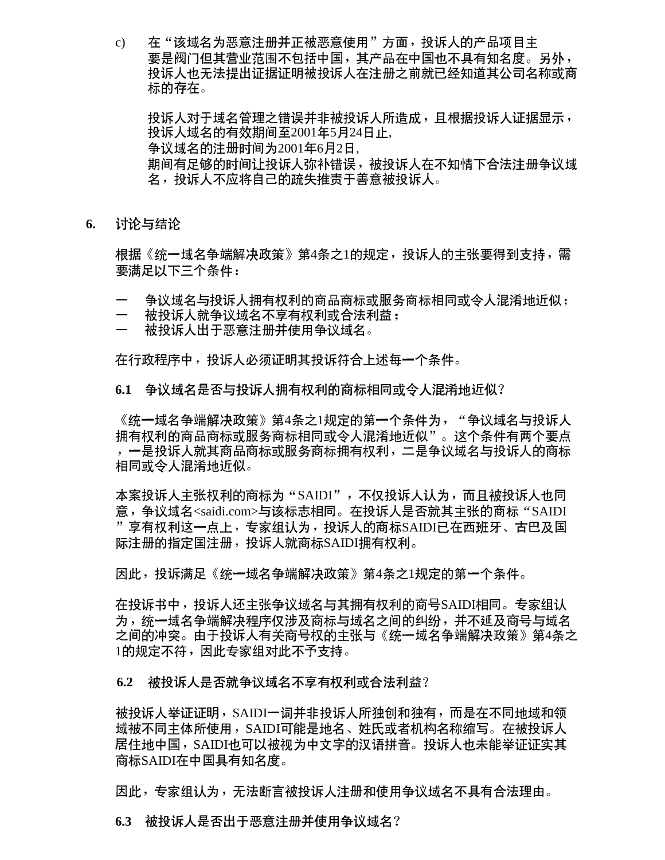c) 在"该域名为恶意注册并正被恶意使用"方面,投诉人的产品项目主 要是阀门但其营业范围不包括中国,其产品在中国也不具有知名度。另外, 投诉人也无法提出证据证明被投诉人在注册之前就已经知道其公司名称或商 标的存在。

投诉人对于域名管理之错误并非被投诉人所造成,且根据投诉人证据显示, 投诉人域名的有效期间至2001年5月24日止, 争议域名的注册时间为2001年6月2日, 期间有足够的时间让投诉人弥补错误,被投诉人在不知情下合法注册争议域 名, 投诉人不应将自己的疏失推责于善意被投诉人。

**6.**  讨论与结论

> 根据《统一域名争端解决政策》第4条之1的规定,投诉人的主张要得到支持,需 要满足以下三个条件:

- 争议域名与投诉人拥有权利的商品商标或服务商标相同或令人混淆地近似;
- $\overline{\phantom{0}}$ 被投诉人就争议域名不享有权利或合法利益;
- 被投诉人出于恶意注册并使用争议域名。

在行政程序中,投诉人必须证明其投诉符合上述每一个条件。

**6.1 争议域名是否与投诉人拥有权利的商标相同或令人混淆地近似?** 

《统一域名争端解决政策》第4条之1规定的第一个条件为, " 争议域名与投诉人 拥有权利的商品商标或服务商标相同或令人混淆地近似"。这个条件有两个要点 ,一是投诉人就其商品商标或服务商标拥有权利,二是争议域名与投诉人的商标 相同或令人混淆地近似。

本案投诉人主张权利的商标为 "SAIDI",不仅投诉人认为,而且被投诉人也同 意,争议域名<saidi.com>与该标志相同。在投诉人是否就其主张的商标"SAIDI "享有权利这一点上,专家组认为,投诉人的商标SAIDI已在西班牙、古巴及国 际注册的指定国注册,投诉人就商标SAIDI拥有权利。

因此,投诉满足《统一域名争端解决政策》第4条之1规定的第一个条件。

在投诉书中,投诉人还主张争议域名与其拥有权利的商号SAIDI相同。专家组认 为,统一域名争端解决程序仅涉及商标与域名之间的纠纷,并不延及商号与域名 之间的冲突。由于投诉人有关商号权的主张与《统一域名争端解决政策》第4条之 1的规定不符,因此专家组对此不予支持。

6.2 被投诉人是否就争议域名不享有权利或合法利益?

被投诉人举证证明,SAIDI一词并非投诉人所独创和独有,而是在不同地域和领 域被不同主体所使用,SAIDI可能是地名、姓氏或者机构名称缩写。在被投诉人 居住地中国,SAIDI也可以被视为中文字的汉语拼音。投诉人也未能举证证实其 商标SAIDI在中国具有知名度。

因此,专家组认为,无法断言被投诉人注册和使用争议域名不具有合法理由。

**6.3 被投诉人是否出于恶意注册并使用争议域名?**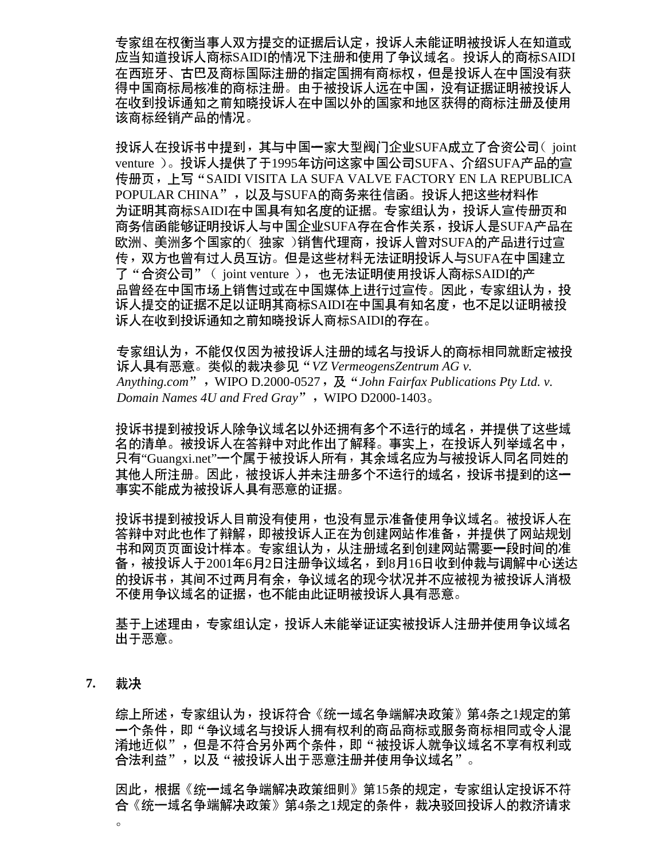专家组在权衡当事人双方提交的证据后认定,投诉人未能证明被投诉人在知道或 应当知道投诉人商标SAIDI的情况下注册和使用了争议域名。投诉人的商标SAIDI 在西班牙、古巴及商标国际注册的指定国拥有商标权,但是投诉人在中国没有获 得中国商标局核准的商标注册。由于被投诉人远在中国,没有证据证明被投诉人 在收到投诉通知之前知晓投诉人在中国以外的国家和地区获得的商标注册及使用 该商标经销产品的情况。

投诉人在投诉书中提到,其与中国一家大型阀门企业SUFA成立了合资公司( joint  $v$ enture )。投诉人提供了于1995年访问这家中国公司SUFA、介绍SUFA产品的宣 传册页,上写"SAIDI VISITA LA SUFA VALVE FACTORY EN LA REPUBLICA POPULAR CHINA", 以及与SUFA的商务来往信函。投诉人把这些材料作 为证明其商标SAIDI在中国具有知名度的证据。专家组认为,投诉人宣传册页和 商务信函能够证明投诉人与中国企业SUFA存在合作关系,投诉人是SUFA产品在 欧洲、美洲多个国家的(独家)销售代理商,投诉人曾对SUFA的产品进行过宣 传,双方也曾有过人员互访。但是这些材料无法证明投诉人与SUFA在中国建立 了"合资公司"(joint venture), 也无法证明使用投诉人商标SAIDI的产 品曾经在中国市场上销售过或在中国媒体上进行过宣传。因此,专家组认为,投 诉人提交的证据不足以证明其商标SAIDI在中国具有知名度,也不足以证明被投 诉人在收到投诉通知之前知晓投诉人商标SAIDI的存在。

专家组认为,不能仅仅因为被投诉人注册的域名与投诉人的商标相同就断定被投 *VZ VermeogensZentrum AG v. Anything.com* WIPO D.2000-0527 *John Fairfax Publications Pty Ltd. v. Domain Names 4U and Fred Gray*", WIPO D2000-1403.

投诉书提到被投诉人除争议域名以外还拥有多个不运行的域名,并提供了这些域 名的清单。被投诉人在答辩中对此作出了解释。事实上,在投诉人列举域名中, 只有"Guangxi.net"一个属于被投诉人所有,其余域名应为与被投诉人同名同姓的 其他人所注册。因此,被投诉人并未注册多个不运行的域名,投诉书提到的这一 事实不能成为被投诉人具有恶意的证据。

投诉书提到被投诉人目前没有使用,也没有显示准备使用争议域名。被投诉人在 答辩中对此也作了辩解,即被投诉人正在为创建网站作准备,并提供了网站规划 书和网页页面设计样本。专家组认为,从注册域名到创建网站需要一段时间的准 备,被投诉人于2001年6月2日注册争议域名,到8月16日收到仲裁与调解中心送达 的投诉书,其间不过两月有余,争议域名的现今状况并不应被视为被投诉人消极 不使用争议域名的证据,也不能由此证明被投诉人具有恶意。

基于上述理由,专家组认定,投诉人未能举证证实被投诉人注册并使用争议域名 出于恶意。

裁决 **7.** 

 $\circ$ 

综上所述,专家组认为,投诉符合《统一域名争端解决政策》第4条之1规定的第 一个条件,即"争议域名与投诉人拥有权利的商品商标或服务商标相同或今人混 淆地近似",但是不符合另外两个条件,即"被投诉人就争议域名不享有权利或 合法利益",以及"被投诉人出于恶意注册并使用争议域名"。

因此,根据《统一域名争端解决政策细则》第15条的规定,专家组认定投诉不符 合《统一域名争端解决政策》第4条之1规定的条件,裁决驳回投诉人的救济请求